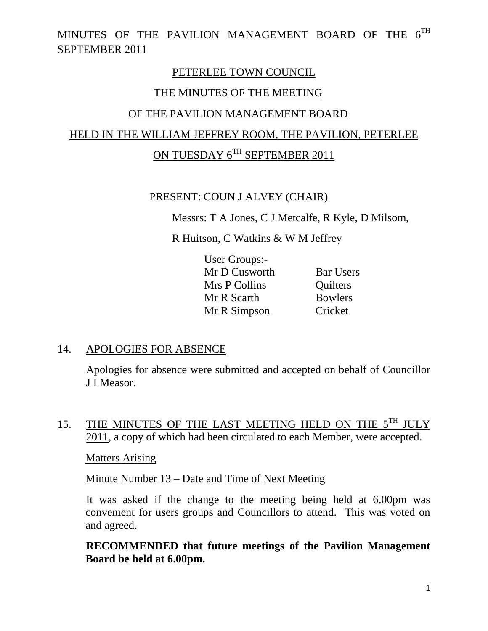### PETERLEE TOWN COUNCIL

### THE MINUTES OF THE MEETING

### OF THE PAVILION MANAGEMENT BOARD

# HELD IN THE WILLIAM JEFFREY ROOM, THE PAVILION, PETERLEE

# ON TUESDAY 6TH SEPTEMBER 2011

### PRESENT: COUN J ALVEY (CHAIR)

Messrs: T A Jones, C J Metcalfe, R Kyle, D Milsom,

R Huitson, C Watkins & W M Jeffrey

| User Groups:- |                  |
|---------------|------------------|
| Mr D Cusworth | <b>Bar Users</b> |
| Mrs P Collins | Quilters         |
| Mr R Scarth   | <b>Bowlers</b>   |
| Mr R Simpson  | Cricket          |

#### 14. APOLOGIES FOR ABSENCE

Apologies for absence were submitted and accepted on behalf of Councillor J I Measor.

15. THE MINUTES OF THE LAST MEETING HELD ON THE 5<sup>TH</sup> JULY 2011, a copy of which had been circulated to each Member, were accepted.

Matters Arising

Minute Number 13 – Date and Time of Next Meeting

 It was asked if the change to the meeting being held at 6.00pm was convenient for users groups and Councillors to attend. This was voted on and agreed.

 **RECOMMENDED that future meetings of the Pavilion Management Board be held at 6.00pm.**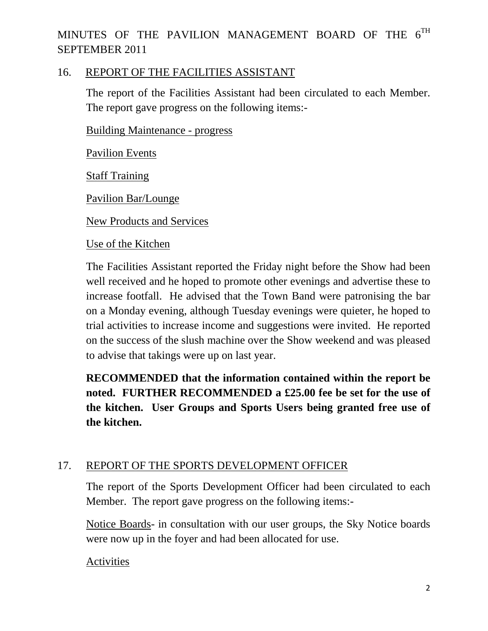### 16. REPORT OF THE FACILITIES ASSISTANT

The report of the Facilities Assistant had been circulated to each Member. The report gave progress on the following items:-

Building Maintenance - progress

Pavilion Events

Staff Training

Pavilion Bar/Lounge

New Products and Services

#### Use of the Kitchen

The Facilities Assistant reported the Friday night before the Show had been well received and he hoped to promote other evenings and advertise these to increase footfall. He advised that the Town Band were patronising the bar on a Monday evening, although Tuesday evenings were quieter, he hoped to trial activities to increase income and suggestions were invited. He reported on the success of the slush machine over the Show weekend and was pleased to advise that takings were up on last year.

**RECOMMENDED that the information contained within the report be noted. FURTHER RECOMMENDED a £25.00 fee be set for the use of the kitchen. User Groups and Sports Users being granted free use of the kitchen.** 

### 17. REPORT OF THE SPORTS DEVELOPMENT OFFICER

The report of the Sports Development Officer had been circulated to each Member. The report gave progress on the following items:-

Notice Boards- in consultation with our user groups, the Sky Notice boards were now up in the foyer and had been allocated for use.

#### Activities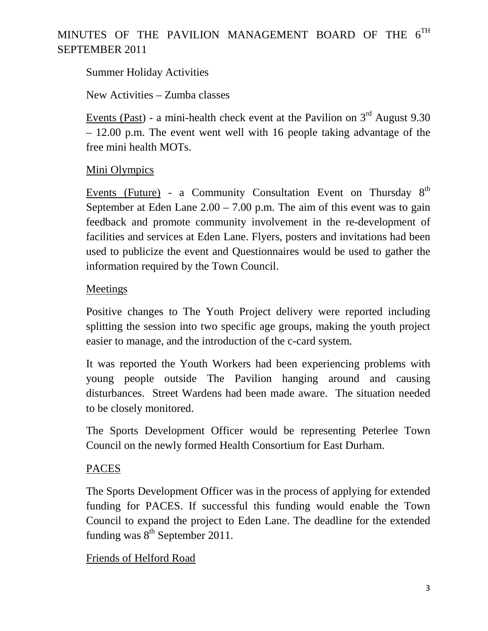### Summer Holiday Activities

New Activities – Zumba classes

Events (Past) - a mini-health check event at the Pavilion on  $3<sup>rd</sup>$  August 9.30 – 12.00 p.m. The event went well with 16 people taking advantage of the free mini health MOTs.

### Mini Olympics

Events (Future) - a Community Consultation Event on Thursday  $8<sup>th</sup>$ September at Eden Lane  $2.00 - 7.00$  p.m. The aim of this event was to gain feedback and promote community involvement in the re-development of facilities and services at Eden Lane. Flyers, posters and invitations had been used to publicize the event and Questionnaires would be used to gather the information required by the Town Council.

### Meetings

Positive changes to The Youth Project delivery were reported including splitting the session into two specific age groups, making the youth project easier to manage, and the introduction of the c-card system.

It was reported the Youth Workers had been experiencing problems with young people outside The Pavilion hanging around and causing disturbances. Street Wardens had been made aware. The situation needed to be closely monitored.

The Sports Development Officer would be representing Peterlee Town Council on the newly formed Health Consortium for East Durham.

#### PACES

The Sports Development Officer was in the process of applying for extended funding for PACES. If successful this funding would enable the Town Council to expand the project to Eden Lane. The deadline for the extended funding was  $8^{th}$  September 2011.

#### Friends of Helford Road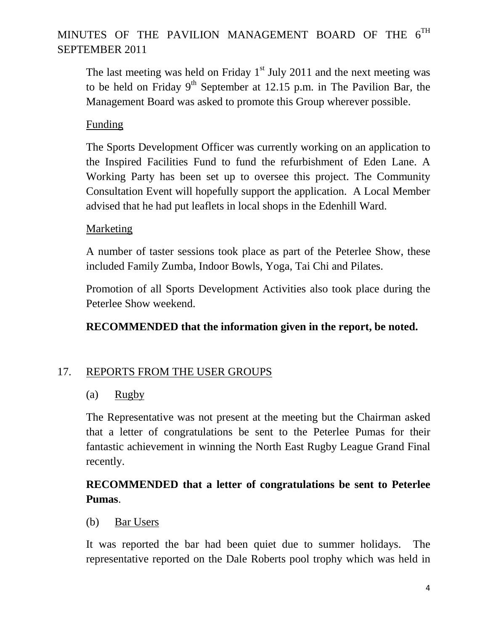The last meeting was held on Friday  $1<sup>st</sup>$  July 2011 and the next meeting was to be held on Friday  $9<sup>th</sup>$  September at 12.15 p.m. in The Pavilion Bar, the Management Board was asked to promote this Group wherever possible.

### Funding

The Sports Development Officer was currently working on an application to the Inspired Facilities Fund to fund the refurbishment of Eden Lane. A Working Party has been set up to oversee this project. The Community Consultation Event will hopefully support the application. A Local Member advised that he had put leaflets in local shops in the Edenhill Ward.

### Marketing

A number of taster sessions took place as part of the Peterlee Show, these included Family Zumba, Indoor Bowls, Yoga, Tai Chi and Pilates.

Promotion of all Sports Development Activities also took place during the Peterlee Show weekend.

### **RECOMMENDED that the information given in the report, be noted.**

### 17. REPORTS FROM THE USER GROUPS

### (a) Rugby

The Representative was not present at the meeting but the Chairman asked that a letter of congratulations be sent to the Peterlee Pumas for their fantastic achievement in winning the North East Rugby League Grand Final recently.

### **RECOMMENDED that a letter of congratulations be sent to Peterlee Pumas**.

#### (b) Bar Users

It was reported the bar had been quiet due to summer holidays. The representative reported on the Dale Roberts pool trophy which was held in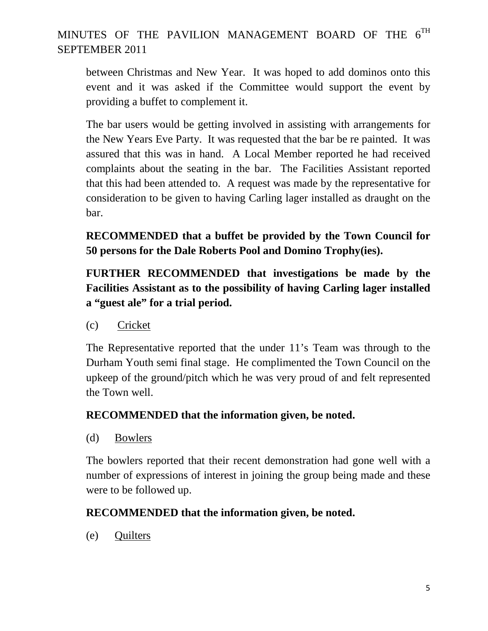between Christmas and New Year. It was hoped to add dominos onto this event and it was asked if the Committee would support the event by providing a buffet to complement it.

The bar users would be getting involved in assisting with arrangements for the New Years Eve Party. It was requested that the bar be re painted. It was assured that this was in hand. A Local Member reported he had received complaints about the seating in the bar. The Facilities Assistant reported that this had been attended to. A request was made by the representative for consideration to be given to having Carling lager installed as draught on the bar.

**RECOMMENDED that a buffet be provided by the Town Council for 50 persons for the Dale Roberts Pool and Domino Trophy(ies).** 

**FURTHER RECOMMENDED that investigations be made by the Facilities Assistant as to the possibility of having Carling lager installed a "guest ale" for a trial period.** 

(c) Cricket

The Representative reported that the under 11's Team was through to the Durham Youth semi final stage. He complimented the Town Council on the upkeep of the ground/pitch which he was very proud of and felt represented the Town well.

### **RECOMMENDED that the information given, be noted.**

(d) Bowlers

 The bowlers reported that their recent demonstration had gone well with a number of expressions of interest in joining the group being made and these were to be followed up.

### **RECOMMENDED that the information given, be noted.**

(e) Quilters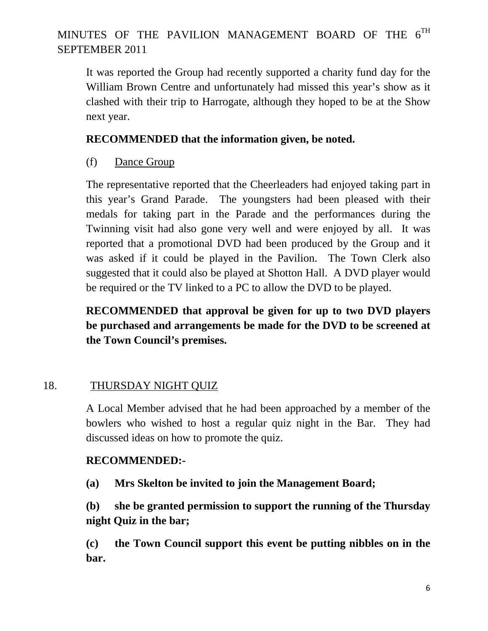It was reported the Group had recently supported a charity fund day for the William Brown Centre and unfortunately had missed this year's show as it clashed with their trip to Harrogate, although they hoped to be at the Show next year.

### **RECOMMENDED that the information given, be noted.**

(f) Dance Group

The representative reported that the Cheerleaders had enjoyed taking part in this year's Grand Parade. The youngsters had been pleased with their medals for taking part in the Parade and the performances during the Twinning visit had also gone very well and were enjoyed by all. It was reported that a promotional DVD had been produced by the Group and it was asked if it could be played in the Pavilion. The Town Clerk also suggested that it could also be played at Shotton Hall. A DVD player would be required or the TV linked to a PC to allow the DVD to be played.

**RECOMMENDED that approval be given for up to two DVD players be purchased and arrangements be made for the DVD to be screened at the Town Council's premises.** 

### 18. THURSDAY NIGHT QUIZ

A Local Member advised that he had been approached by a member of the bowlers who wished to host a regular quiz night in the Bar. They had discussed ideas on how to promote the quiz.

### **RECOMMENDED:-**

**(a) Mrs Skelton be invited to join the Management Board;** 

**(b) she be granted permission to support the running of the Thursday night Quiz in the bar;** 

**(c) the Town Council support this event be putting nibbles on in the bar.**